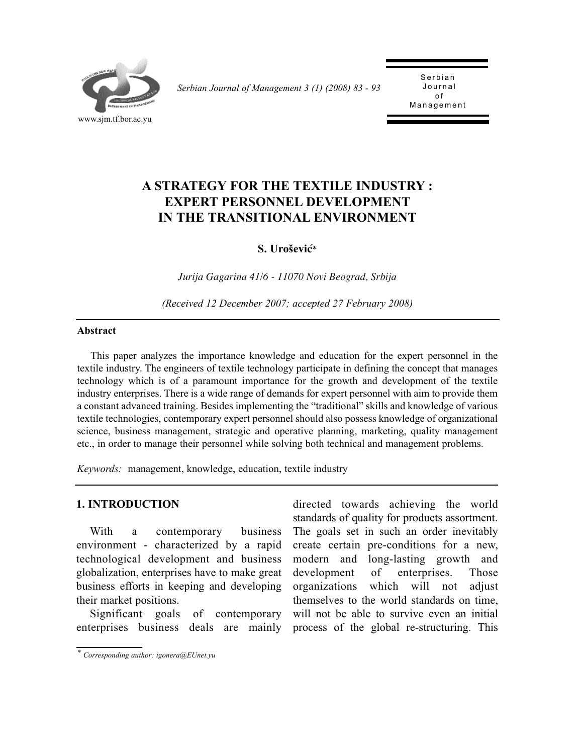

*Serbian Journal of Management 3 (1) (2008) 83 - 93* 

Serbian<br>Journal o f .<br>مد Management

# **A STRATEGY FOR THE TEXTILE INDUSTRY : EXPERT PERSONNEL DEVELOPMENT IN THE TRANSITIONAL ENVIRONMENT**

**S. Uroševi}***\**

*Jurija Gagarina 41/6 - 11070 Novi Beograd, Srbija*

*(Received 12 December 2007; accepted 27 February 2008)*

#### **Abstract**

This paper analyzes the importance knowledge and education for the expert personnel in the textile industry. The engineers of textile technology participate in defining the concept that manages technology which is of a paramount importance for the growth and development of the textile industry enterprises. There is a wide range of demands for expert personnel with aim to provide them a constant advanced training. Besides implementing the "traditional" skills and knowledge of various textile technologies, contemporary expert personnel should also possess knowledge of organizational science, business management, strategic and operative planning, marketing, quality management etc., in order to manage their personnel while solving both technical and management problems.

*Keywords:* management, knowledge, education, textile industry

#### **1. INTRODUCTION**

With a contemporary business environment - characterized by a rapid technological development and business globalization, enterprises have to make great business efforts in keeping and developing their market positions.

Significant goals of contemporary enterprises business deals are mainly

directed towards achieving the world standards of quality for products assortment. The goals set in such an order inevitably create certain pre-conditions for a new, modern and long-lasting growth and development of enterprises. Those organizations which will not adjust themselves to the world standards on time, will not be able to survive even an initial process of the global re-structuring. This

*<sup>\*</sup> Corresponding author: igonera@EUnet.yu*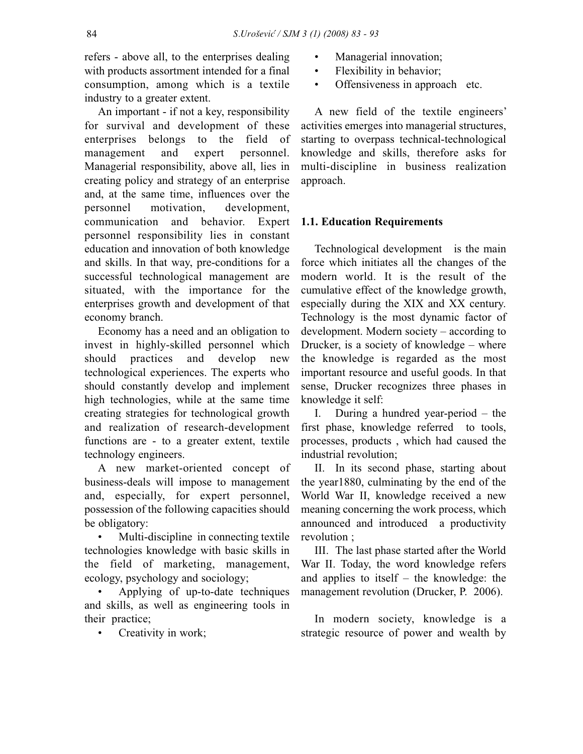refers - above all, to the enterprises dealing with products assortment intended for a final consumption, among which is a textile industry to a greater extent.

An important - if not a key, responsibility for survival and development of these enterprises belongs to the field of management and expert personnel. Managerial responsibility, above all, lies in creating policy and strategy of an enterprise and, at the same time, influences over the personnel motivation, development, communication and behavior. Expert personnel responsibility lies in constant education and innovation of both knowledge and skills. In that way, pre-conditions for a successful technological management are situated, with the importance for the enterprises growth and development of that economy branch.

Economy has a need and an obligation to invest in highly-skilled personnel which should practices and develop new technological experiences. The experts who should constantly develop and implement high technologies, while at the same time creating strategies for technological growth and realization of research-development functions are - to a greater extent, textile technology engineers.

A new market-oriented concept of business-deals will impose to management and, especially, for expert personnel, possession of the following capacities should be obligatory:

• Multi-discipline in connecting textile technologies knowledge with basic skills in the field of marketing, management, ecology, psychology and sociology;

• Applying of up-to-date techniques and skills, as well as engineering tools in their practice;

Creativity in work;

- Managerial innovation;
- Flexibility in behavior;
- Offensiveness in approach etc.

A new field of the textile engineers' activities emerges into managerial structures, starting to overpass technical-technological knowledge and skills, therefore asks for multi-discipline in business realization approach.

## **1.1. Education Requirements**

Technological development is the main force which initiates all the changes of the modern world. It is the result of the cumulative effect of the knowledge growth, especially during the XIX and XX century. Technology is the most dynamic factor of development. Modern society – according to Drucker, is a society of knowledge – where the knowledge is regarded as the most important resource and useful goods. In that sense, Drucker recognizes three phases in knowledge it self:

I. During a hundred year-period – the first phase, knowledge referred to tools, processes, products , which had caused the industrial revolution;

II. In its second phase, starting about the year1880, culminating by the end of the World War II, knowledge received a new meaning concerning the work process, which announced and introduced a productivity revolution ;

III. The last phase started after the World War II. Today, the word knowledge refers and applies to itself – the knowledge: the management revolution (Drucker, P. 2006).

In modern society, knowledge is a strategic resource of power and wealth by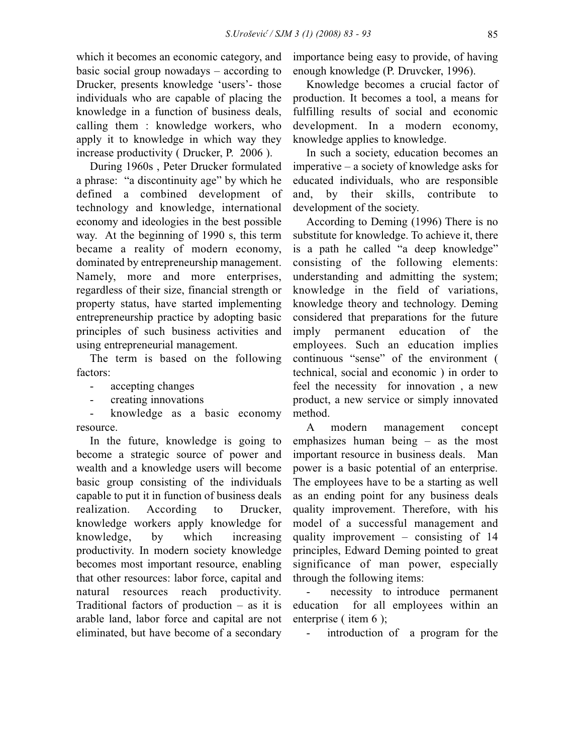which it becomes an economic category, and basic social group nowadays – according to Drucker, presents knowledge 'users'- those individuals who are capable of placing the knowledge in a function of business deals, calling them : knowledge workers, who apply it to knowledge in which way they increase productivity ( Drucker, P. 2006 ).

During 1960s , Peter Drucker formulated a phrase: "a discontinuity age" by which he defined a combined development of technology and knowledge, international economy and ideologies in the best possible way. At the beginning of 1990 s, this term became a reality of modern economy, dominated by entrepreneurship management. Namely, more and more enterprises, regardless of their size, financial strength or property status, have started implementing entrepreneurship practice by adopting basic principles of such business activities and using entrepreneurial management.

The term is based on the following factors:

- accepting changes
- creating innovations

- knowledge as a basic economy resource.

In the future, knowledge is going to become a strategic source of power and wealth and a knowledge users will become basic group consisting of the individuals capable to put it in function of business deals realization. According to Drucker, knowledge workers apply knowledge for knowledge, by which increasing productivity. In modern society knowledge becomes most important resource, enabling that other resources: labor force, capital and natural resources reach productivity. Traditional factors of production – as it is arable land, labor force and capital are not eliminated, but have become of a secondary

importance being easy to provide, of having enough knowledge (P. Druvcker, 1996).

Knowledge becomes a crucial factor of production. It becomes a tool, a means for fulfilling results of social and economic development. In a modern economy, knowledge applies to knowledge.

In such a society, education becomes an imperative – a society of knowledge asks for educated individuals, who are responsible and, by their skills, contribute to development of the society.

According to Deming (1996) There is no substitute for knowledge. To achieve it, there is a path he called "a deep knowledge" consisting of the following elements: understanding and admitting the system; knowledge in the field of variations, knowledge theory and technology. Deming considered that preparations for the future imply permanent education of the employees. Such an education implies continuous "sense" of the environment ( technical, social and economic ) in order to feel the necessity for innovation , a new product, a new service or simply innovated method.

A modern management concept emphasizes human being – as the most important resource in business deals. Man power is a basic potential of an enterprise. The employees have to be a starting as well as an ending point for any business deals quality improvement. Therefore, with his model of a successful management and quality improvement – consisting of 14 principles, Edward Deming pointed to great significance of man power, especially through the following items:

necessity to introduce permanent education for all employees within an enterprise ( item 6 );

introduction of a program for the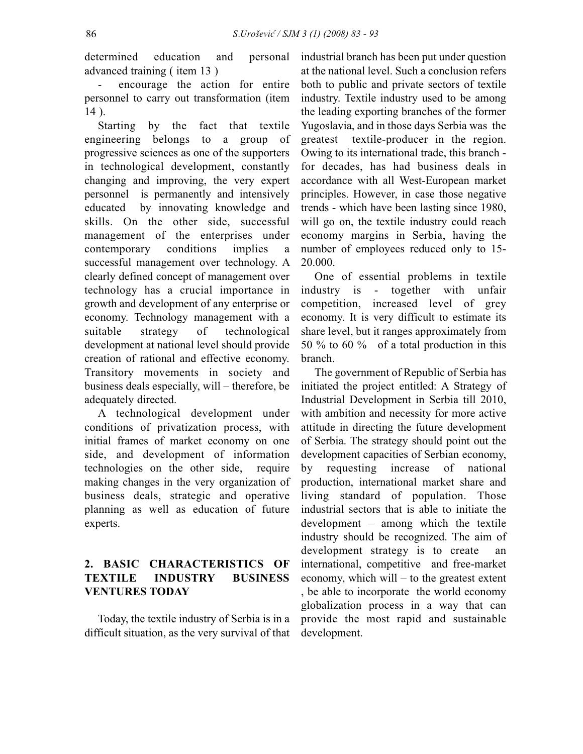determined education and personal advanced training ( item 13 )

- encourage the action for entire personnel to carry out transformation (item 14 ).

Starting by the fact that textile engineering belongs to a group of progressive sciences as one of the supporters in technological development, constantly changing and improving, the very expert personnel is permanently and intensively educated by innovating knowledge and skills. On the other side, successful management of the enterprises under contemporary conditions implies a successful management over technology. A clearly defined concept of management over technology has a crucial importance in growth and development of any enterprise or economy. Technology management with a suitable strategy of technological development at national level should provide creation of rational and effective economy. Transitory movements in society and business deals especially, will – therefore, be adequately directed.

A technological development under conditions of privatization process, with initial frames of market economy on one side, and development of information technologies on the other side, require making changes in the very organization of business deals, strategic and operative planning as well as education of future experts.

# **2. BASIC CHARACTERISTICS OF TEXTILE INDUSTRY BUSINESS VENTURES TODAY**

Today, the textile industry of Serbia is in a difficult situation, as the very survival of that industrial branch has been put under question at the national level. Such a conclusion refers both to public and private sectors of textile industry. Textile industry used to be among the leading exporting branches of the former Yugoslavia, and in those days Serbia was the greatest textile-producer in the region. Owing to its international trade, this branch for decades, has had business deals in accordance with all West-European market principles. However, in case those negative trends - which have been lasting since 1980, will go on, the textile industry could reach economy margins in Serbia, having the number of employees reduced only to 15- 20.000.

One of essential problems in textile industry is - together with unfair competition, increased level of grey economy. It is very difficult to estimate its share level, but it ranges approximately from 50 % to 60 % of a total production in this branch.

The government of Republic of Serbia has initiated the project entitled: A Strategy of Industrial Development in Serbia till 2010, with ambition and necessity for more active attitude in directing the future development of Serbia. The strategy should point out the development capacities of Serbian economy, by requesting increase of national production, international market share and living standard of population. Those industrial sectors that is able to initiate the development – among which the textile industry should be recognized. The aim of development strategy is to create an international, competitive and free-market economy, which will – to the greatest extent , be able to incorporate the world economy globalization process in a way that can provide the most rapid and sustainable development.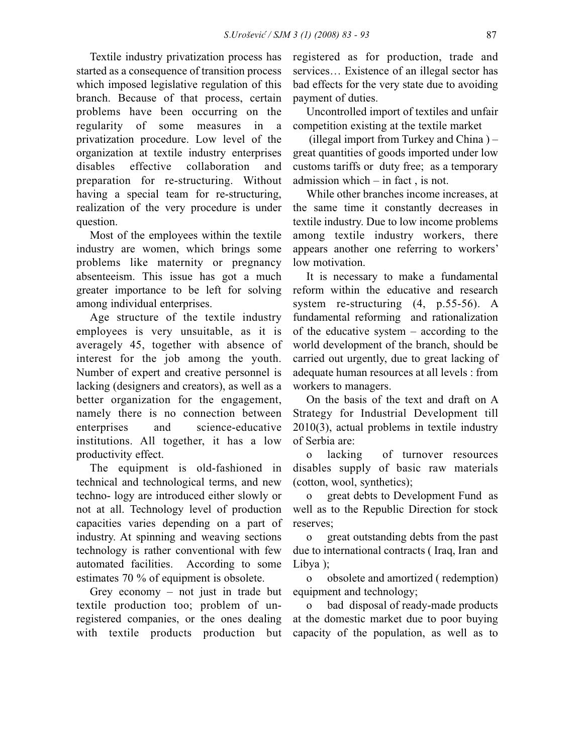Textile industry privatization process has started as a consequence of transition process which imposed legislative regulation of this branch. Because of that process, certain problems have been occurring on the regularity of some measures in a privatization procedure. Low level of the organization at textile industry enterprises disables effective collaboration and preparation for re-structuring. Without having a special team for re-structuring, realization of the very procedure is under question.

Most of the employees within the textile industry are women, which brings some problems like maternity or pregnancy absenteeism. This issue has got a much greater importance to be left for solving among individual enterprises.

Age structure of the textile industry employees is very unsuitable, as it is averagely 45, together with absence of interest for the job among the youth. Number of expert and creative personnel is lacking (designers and creators), as well as a better organization for the engagement, namely there is no connection between enterprises and science-educative institutions. All together, it has a low productivity effect.

The equipment is old-fashioned in technical and technological terms, and new techno- logy are introduced either slowly or not at all. Technology level of production capacities varies depending on a part of industry. At spinning and weaving sections technology is rather conventional with few automated facilities. According to some estimates 70 % of equipment is obsolete.

Grey economy – not just in trade but textile production too; problem of unregistered companies, or the ones dealing with textile products production but registered as for production, trade and services… Existence of an illegal sector has bad effects for the very state due to avoiding payment of duties.

Uncontrolled import of textiles and unfair competition existing at the textile market

(illegal import from Turkey and China ) – great quantities of goods imported under low customs tariffs or duty free; as a temporary admission which – in fact , is not.

While other branches income increases, at the same time it constantly decreases in textile industry. Due to low income problems among textile industry workers, there appears another one referring to workers' low motivation.

It is necessary to make a fundamental reform within the educative and research system re-structuring (4, p.55-56). A fundamental reforming and rationalization of the educative system – according to the world development of the branch, should be carried out urgently, due to great lacking of adequate human resources at all levels : from workers to managers.

On the basis of the text and draft on A Strategy for Industrial Development till 2010(3), actual problems in textile industry of Serbia are:

o lacking of turnover resources disables supply of basic raw materials (cotton, wool, synthetics);

o great debts to Development Fund as well as to the Republic Direction for stock reserves;

o great outstanding debts from the past due to international contracts ( Iraq, Iran and Libya );

o obsolete and amortized ( redemption) equipment and technology;

o bad disposal of ready-made products at the domestic market due to poor buying capacity of the population, as well as to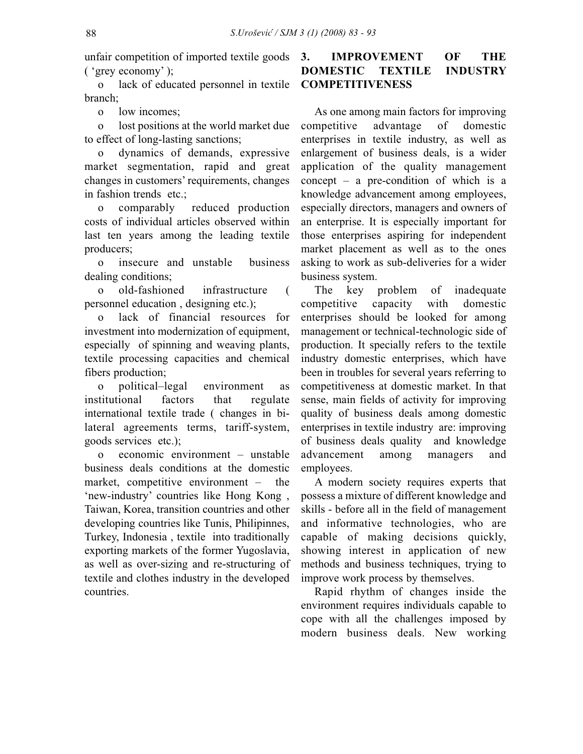unfair competition of imported textile goods ( 'grey economy' );

o lack of educated personnel in textile branch;

o low incomes;

o lost positions at the world market due to effect of long-lasting sanctions;

o dynamics of demands, expressive market segmentation, rapid and great changes in customers' requirements, changes in fashion trends etc.;

o comparably reduced production costs of individual articles observed within last ten years among the leading textile producers;

o insecure and unstable business dealing conditions;

o old-fashioned infrastructure ( personnel education , designing etc.);

o lack of financial resources for investment into modernization of equipment. especially of spinning and weaving plants, textile processing capacities and chemical fibers production;

o political–legal environment as institutional factors that regulate international textile trade ( changes in bilateral agreements terms, tariff-system, goods services etc.);

o economic environment – unstable business deals conditions at the domestic market, competitive environment – the 'new-industry' countries like Hong Kong, Taiwan, Korea, transition countries and other developing countries like Tunis, Philipinnes, Turkey, Indonesia , textile into traditionally exporting markets of the former Yugoslavia, as well as over-sizing and re-structuring of textile and clothes industry in the developed countries.

## **3. IMPROVEMENT OF THE DOMESTIC TEXTILE INDUSTRY COMPETITIVENESS**

As one among main factors for improving competitive advantage of domestic enterprises in textile industry, as well as enlargement of business deals, is a wider application of the quality management concept – a pre-condition of which is a knowledge advancement among employees, especially directors, managers and owners of an enterprise. It is especially important for those enterprises aspiring for independent market placement as well as to the ones asking to work as sub-deliveries for a wider business system.

The key problem of inadequate competitive capacity with domestic enterprises should be looked for among management or technical-technologic side of production. It specially refers to the textile industry domestic enterprises, which have been in troubles for several years referring to competitiveness at domestic market. In that sense, main fields of activity for improving quality of business deals among domestic enterprises in textile industry are: improving of business deals quality and knowledge advancement among managers and employees.

A modern society requires experts that possess a mixture of different knowledge and skills - before all in the field of management and informative technologies, who are capable of making decisions quickly, showing interest in application of new methods and business techniques, trying to improve work process by themselves.

Rapid rhythm of changes inside the environment requires individuals capable to cope with all the challenges imposed by modern business deals. New working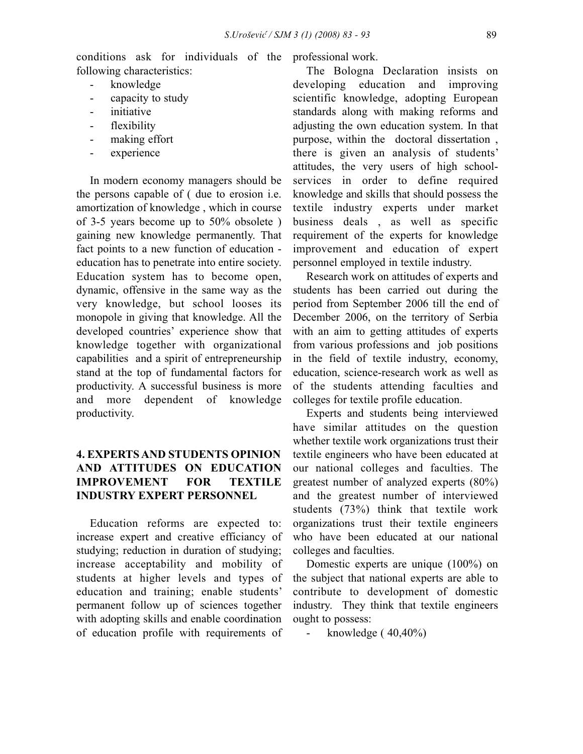conditions ask for individuals of the professional work. following characteristics:

- knowledge
- capacity to study
- initiative
- flexibility
- making effort
- experience

In modern economy managers should be the persons capable of ( due to erosion i.e. amortization of knowledge , which in course of 3-5 years become up to 50% obsolete ) gaining new knowledge permanently. That fact points to a new function of education education has to penetrate into entire society. Education system has to become open, dynamic, offensive in the same way as the very knowledge, but school looses its monopole in giving that knowledge. All the developed countries' experience show that knowledge together with organizational capabilities and a spirit of entrepreneurship stand at the top of fundamental factors for productivity. A successful business is more and more dependent of knowledge productivity.

# **4. EXPERTS AND STUDENTS OPINION AND ATTITUDES ON EDUCATION IMPROVEMENT FOR TEXTILE INDUSTRY EXPERT PERSONNEL**

Education reforms are expected to: increase expert and creative efficiancy of studying; reduction in duration of studying; increase acceptability and mobility of students at higher levels and types of education and training; enable students' permanent follow up of sciences together with adopting skills and enable coordination of education profile with requirements of

The Bologna Declaration insists on developing education and improving scientific knowledge, adopting European standards along with making reforms and adjusting the own education system. In that purpose, within the doctoral dissertation , there is given an analysis of students' attitudes, the very users of high schoolservices in order to define required knowledge and skills that should possess the textile industry experts under market business deals , as well as specific requirement of the experts for knowledge improvement and education of expert personnel employed in textile industry.

Research work on attitudes of experts and students has been carried out during the period from September 2006 till the end of December 2006, on the territory of Serbia with an aim to getting attitudes of experts from various professions and job positions in the field of textile industry, economy, education, science-research work as well as of the students attending faculties and colleges for textile profile education.

Experts and students being interviewed have similar attitudes on the question whether textile work organizations trust their textile engineers who have been educated at our national colleges and faculties. The greatest number of analyzed experts (80%) and the greatest number of interviewed students (73%) think that textile work organizations trust their textile engineers who have been educated at our national colleges and faculties.

Domestic experts are unique (100%) on the subject that national experts are able to contribute to development of domestic industry. They think that textile engineers ought to possess:

knowledge  $(40,40\%)$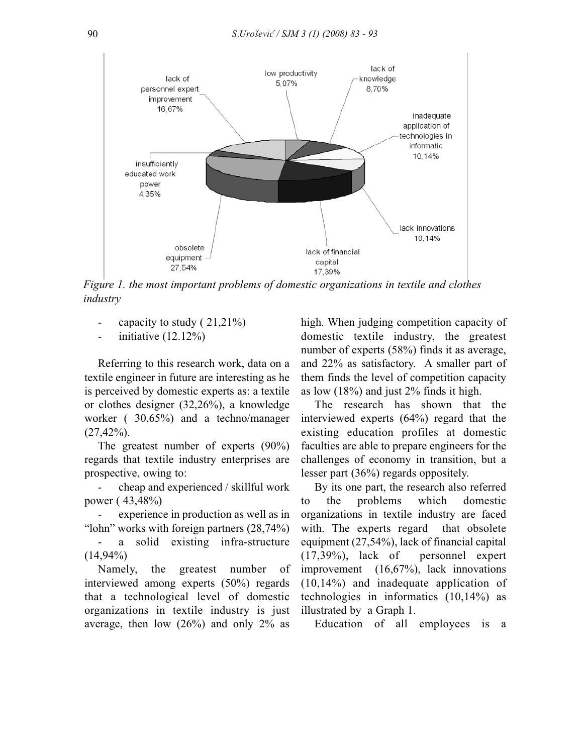

*Figure 1. the most important problems of domestic organizations in textile and clothes industry* 

- capacity to study ( 21,21%)
- initiative  $(12.12\%)$

Referring to this research work, data on a textile engineer in future are interesting as he is perceived by domestic experts as: a textile or clothes designer (32,26%), a knowledge worker ( 30,65%) and a techno/manager  $(27, 42\%)$ .

The greatest number of experts (90%) regards that textile industry enterprises are prospective, owing to:

- cheap and experienced / skillful work power ( 43,48%)

experience in production as well as in "lohn" works with foreign partners (28,74%)

a solid existing infra-structure  $(14,94\%)$ 

Namely, the greatest number of interviewed among experts (50%) regards that a technological level of domestic organizations in textile industry is just average, then low  $(26%)$  and only  $2%$  as

high. When judging competition capacity of domestic textile industry, the greatest number of experts (58%) finds it as average, and 22% as satisfactory. A smaller part of them finds the level of competition capacity as low (18%) and just 2% finds it high.

The research has shown that the interviewed experts (64%) regard that the existing education profiles at domestic faculties are able to prepare engineers for the challenges of economy in transition, but a lesser part (36%) regards oppositely.

By its one part, the research also referred to the problems which domestic organizations in textile industry are faced with. The experts regard that obsolete equipment (27,54%), lack of financial capital (17,39%), lack of personnel expert improvement (16,67%), lack innovations (10,14%) and inadequate application of technologies in informatics (10,14%) as illustrated by a Graph 1.

Education of all employees is a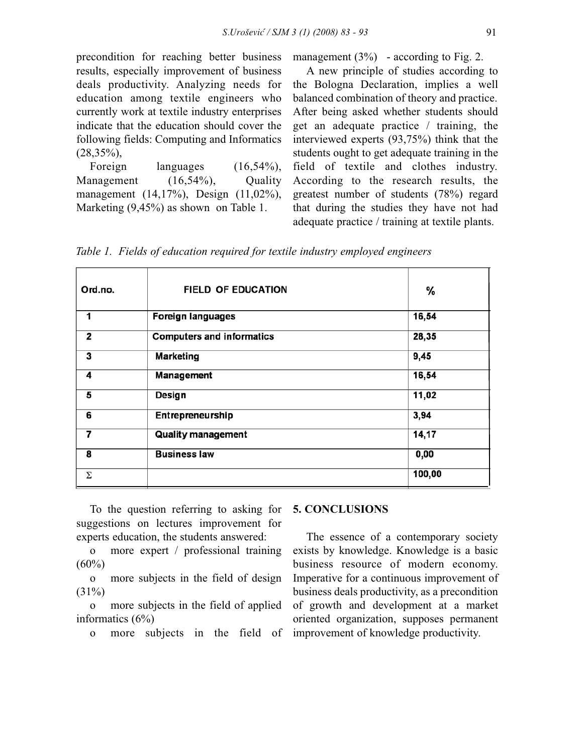precondition for reaching better business results, especially improvement of business deals productivity. Analyzing needs for education among textile engineers who currently work at textile industry enterprises indicate that the education should cover the following fields: Computing and Informatics  $(28,35\%)$ ,

Foreign languages  $(16,54\%)$ , Management (16,54%), Quality management (14,17%), Design (11,02%), Marketing (9,45%) as shown on Table 1.

management  $(3%)$  - according to Fig. 2.

A new principle of studies according to the Bologna Declaration, implies a well balanced combination of theory and practice. After being asked whether students should get an adequate practice / training, the interviewed experts (93,75%) think that the students ought to get adequate training in the field of textile and clothes industry. According to the research results, the greatest number of students (78%) regard that during the studies they have not had adequate practice / training at textile plants.

*Table 1. Fields of education required for textile industry employed engineers*

| Ord.no. | <b>FIELD OF EDUCATION</b>        | %      |
|---------|----------------------------------|--------|
| 1       | <b>Foreign languages</b>         | 16,54  |
| 2       | <b>Computers and informatics</b> | 28,35  |
| 3       | <b>Marketing</b>                 | 9,45   |
| 4       | Management                       | 16,54  |
| 5       | Design                           | 11,02  |
| 6       | Entrepreneurship                 | 3,94   |
| 7       | <b>Quality management</b>        | 14,17  |
| 8       | <b>Business law</b>              | 0,00   |
| Σ       |                                  | 100,00 |

To the question referring to asking for suggestions on lectures improvement for experts education, the students answered:

o more expert / professional training  $(60\%)$ 

o more subjects in the field of design  $(31\%)$ 

o more subjects in the field of applied informatics (6%)

o more subjects in the field of

#### **5. CONCLUSIONS**

The essence of a contemporary society exists by knowledge. Knowledge is a basic business resource of modern economy. Imperative for a continuous improvement of business deals productivity, as a precondition of growth and development at a market oriented organization, supposes permanent improvement of knowledge productivity.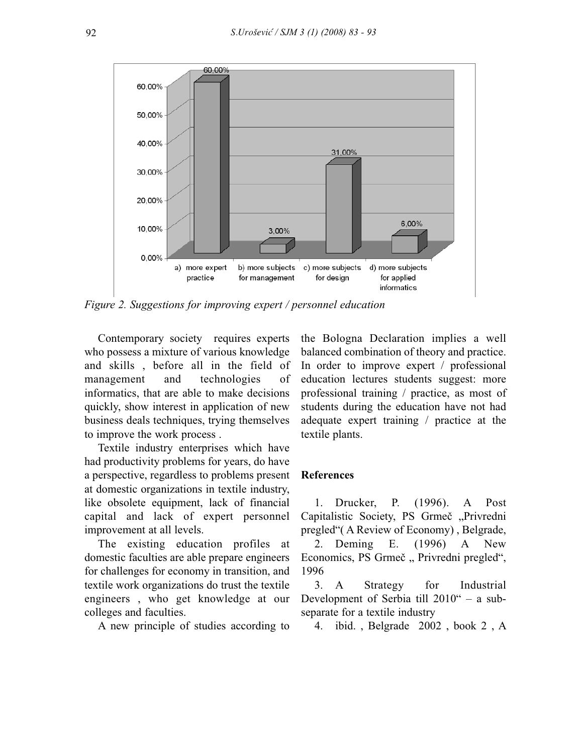

*Figure 2. Suggestions for improving expert / personnel education*

Contemporary society requires experts who possess a mixture of various knowledge and skills , before all in the field of management and technologies of informatics, that are able to make decisions quickly, show interest in application of new business deals techniques, trying themselves to improve the work process .

Textile industry enterprises which have had productivity problems for years, do have a perspective, regardless to problems present at domestic organizations in textile industry, like obsolete equipment, lack of financial capital and lack of expert personnel improvement at all levels.

The existing education profiles at domestic faculties are able prepare engineers for challenges for economy in transition, and textile work organizations do trust the textile engineers , who get knowledge at our colleges and faculties.

A new principle of studies according to

the Bologna Declaration implies a well balanced combination of theory and practice. In order to improve expert / professional education lectures students suggest: more professional training / practice, as most of students during the education have not had adequate expert training / practice at the textile plants.

#### **References**

1. Drucker, P. (1996). A Post Capitalistic Society, PS Grmeč "Privredni pregled"( A Review of Economy) , Belgrade,

2. Deming E. (1996) A New Economics, PS Grmeč "Privredni pregled", 1996

3. A Strategy for Industrial Development of Serbia till 2010" – a subseparate for a textile industry

4. ibid. , Belgrade 2002 , book 2 , A